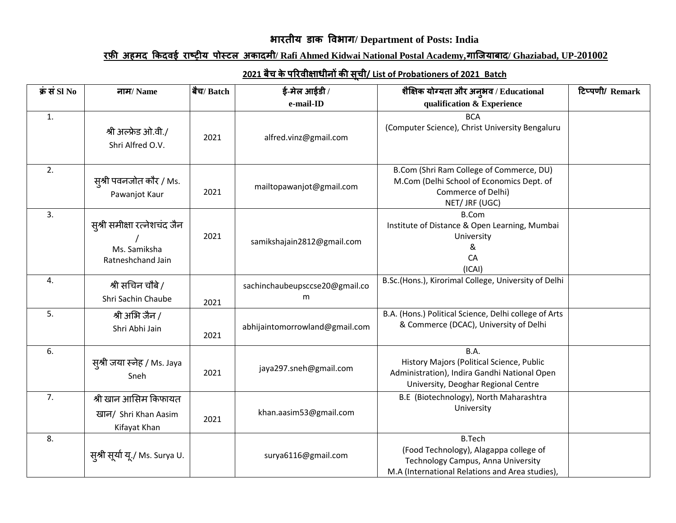## **भारतीय डाक विभाग/ Department of Posts: India**

## **रफ़ी अहमद ककदिई राष्ट्रीय पोस्टल अकादमी/ Rafi Ahmed Kidwai National Postal Academy,गाजियाबाद/ Ghaziabad, UP-201002**

| क्रं सं $SI$ No | नाम/ Name                                                         | बैच/ Batch | ई-मेल आईडी /                        | शैक्षिक योग्यता और अनुभव / Educational                                                                                                           | टिप्पणी/ Remark |
|-----------------|-------------------------------------------------------------------|------------|-------------------------------------|--------------------------------------------------------------------------------------------------------------------------------------------------|-----------------|
|                 |                                                                   |            | e-mail-ID                           | qualification & Experience                                                                                                                       |                 |
| 1.              | श्री अल्फ्रेड ओ.वी./<br>Shri Alfred O.V.                          | 2021       | alfred.vinz@gmail.com               | <b>BCA</b><br>(Computer Science), Christ University Bengaluru                                                                                    |                 |
| 2.              | स़्श्री पवनजोत कौर / Ms.<br>Pawanjot Kaur                         | 2021       | mailtopawanjot@gmail.com            | B.Com (Shri Ram College of Commerce, DU)<br>M.Com (Delhi School of Economics Dept. of<br>Commerce of Delhi)<br>NET/ JRF (UGC)                    |                 |
| 3.              | स्श्री समीक्षा रत्नेशचंद जैन<br>Ms. Samiksha<br>Ratneshchand Jain | 2021       | samikshajain2812@gmail.com          | <b>B.Com</b><br>Institute of Distance & Open Learning, Mumbai<br>University<br>&<br>CA<br>(ICAI)                                                 |                 |
| 4.              | श्री सचिन चौबे /<br>Shri Sachin Chaube                            | 2021       | sachinchaubeupsccse20@gmail.co<br>m | B.Sc.(Hons.), Kirorimal College, University of Delhi                                                                                             |                 |
| 5.              | श्री अभि जैन /<br>Shri Abhi Jain                                  | 2021       | abhijaintomorrowland@gmail.com      | B.A. (Hons.) Political Science, Delhi college of Arts<br>& Commerce (DCAC), University of Delhi                                                  |                 |
| 6.              | सुश्री जया स्नेह / Ms. Jaya<br>Sneh                               | 2021       | jaya297.sneh@gmail.com              | B.A.<br>History Majors (Political Science, Public<br>Administration), Indira Gandhi National Open<br>University, Deoghar Regional Centre         |                 |
| 7.              | श्री खान आसिम किफायत<br>खान/ Shri Khan Aasim<br>Kifayat Khan      | 2021       | khan.aasim53@gmail.com              | B.E (Biotechnology), North Maharashtra<br>University                                                                                             |                 |
| 8.              | स्औ सूर्या यू./ Ms. Surya U.                                      |            | surya6116@gmail.com                 | <b>B.Tech</b><br>(Food Technology), Alagappa college of<br>Technology Campus, Anna University<br>M.A (International Relations and Area studies), |                 |

## **2021 बैच केपररिीक्षाधीनों की सूची/ List of Probationers of 2021 Batch**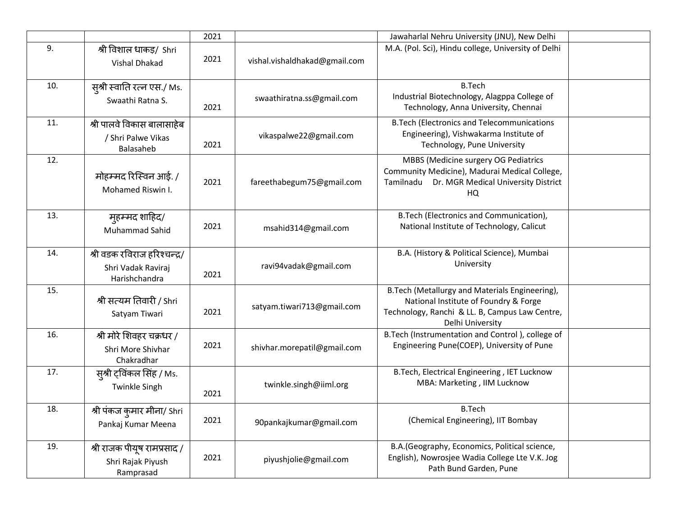|     |                                                                     | 2021 |                               | Jawaharlal Nehru University (JNU), New Delhi                                                                                                                   |  |
|-----|---------------------------------------------------------------------|------|-------------------------------|----------------------------------------------------------------------------------------------------------------------------------------------------------------|--|
| 9.  | श्री विशाल धाकड़/ Shri<br><b>Vishal Dhakad</b>                      | 2021 | vishal.vishaldhakad@gmail.com | M.A. (Pol. Sci), Hindu college, University of Delhi                                                                                                            |  |
| 10. | स़्श्री स्वाति रत्न एस./ Ms.<br>Swaathi Ratna S.                    | 2021 | swaathiratna.ss@gmail.com     | <b>B.Tech</b><br>Industrial Biotechnology, Alagppa College of<br>Technology, Anna University, Chennai                                                          |  |
| 11. | श्री पालवे विकास बालासाहेब<br>/ Shri Palwe Vikas<br>Balasaheb       | 2021 | vikaspalwe22@gmail.com        | <b>B.Tech (Electronics and Telecommunications</b><br>Engineering), Vishwakarma Institute of<br>Technology, Pune University                                     |  |
| 12. | मोहम्मद रिस्विन आई. /<br>Mohamed Riswin I.                          | 2021 | fareethabegum75@gmail.com     | MBBS (Medicine surgery OG Pediatrics<br>Community Medicine), Madurai Medical College,<br>Dr. MGR Medical University District<br>Tamilnadu<br>HQ                |  |
| 13. | मुहम्मद शाहिद/<br>Muhammad Sahid                                    | 2021 | msahid314@gmail.com           | B.Tech (Electronics and Communication),<br>National Institute of Technology, Calicut                                                                           |  |
| 14. | श्री वडक रविराज हरिश्चन्द्र/<br>Shri Vadak Raviraj<br>Harishchandra | 2021 | ravi94vadak@gmail.com         | B.A. (History & Political Science), Mumbai<br>University                                                                                                       |  |
| 15. | श्री सत्यम तिवारी / Shri<br>Satyam Tiwari                           | 2021 | satyam.tiwari713@gmail.com    | B. Tech (Metallurgy and Materials Engineering),<br>National Institute of Foundry & Forge<br>Technology, Ranchi & LL. B, Campus Law Centre,<br>Delhi University |  |
| 16. | श्री मोरे शिवहर चक्रधर /<br>Shri More Shivhar<br>Chakradhar         | 2021 | shivhar.morepatil@gmail.com   | B. Tech (Instrumentation and Control), college of<br>Engineering Pune(COEP), University of Pune                                                                |  |
| 17. | स्औ ट्विंकल सिंह / Ms.<br><b>Twinkle Singh</b>                      | 2021 | twinkle.singh@iiml.org        | B.Tech, Electrical Engineering, IET Lucknow<br>MBA: Marketing, IIM Lucknow                                                                                     |  |
| 18. | श्री पंकज कुमार मीना/ Shri<br>Pankaj Kumar Meena                    | 2021 | 90pankajkumar@gmail.com       | <b>B.Tech</b><br>(Chemical Engineering), IIT Bombay                                                                                                            |  |
| 19. | श्री राजक पीयूष रामप्रसाद /<br>Shri Rajak Piyush<br>Ramprasad       | 2021 | piyushjolie@gmail.com         | B.A. (Geography, Economics, Political science,<br>English), Nowrosjee Wadia College Lte V.K. Jog<br>Path Bund Garden, Pune                                     |  |